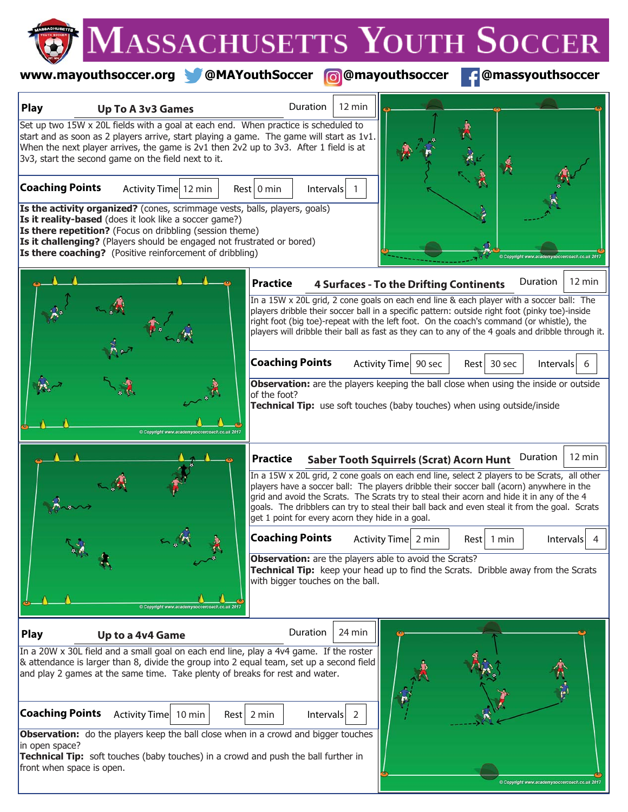# **www.mayouthsoccer.org @MAYouthSoccer @mayouthsoccer @massyouthsoccer**

| <b>Play</b>                                 | <b>Up To A 3v3 Games</b>                                                                                                                                                                                                                                                                                                                                       | $12 \text{ min}$<br>Duration                                                                                                                                                                                                                                                                                                                                                                                                                                    |                                                 |                  |                    |
|---------------------------------------------|----------------------------------------------------------------------------------------------------------------------------------------------------------------------------------------------------------------------------------------------------------------------------------------------------------------------------------------------------------------|-----------------------------------------------------------------------------------------------------------------------------------------------------------------------------------------------------------------------------------------------------------------------------------------------------------------------------------------------------------------------------------------------------------------------------------------------------------------|-------------------------------------------------|------------------|--------------------|
|                                             | Set up two 15W x 20L fields with a goal at each end. When practice is scheduled to<br>start and as soon as 2 players arrive, start playing a game. The game will start as 1v1.<br>When the next player arrives, the game is 2v1 then 2v2 up to 3v3. After 1 field is at<br>3v3, start the second game on the field next to it.                                 |                                                                                                                                                                                                                                                                                                                                                                                                                                                                 |                                                 |                  |                    |
| <b>Coaching Points</b>                      | Activity Time 12 min<br>Is the activity organized? (cones, scrimmage vests, balls, players, goals)<br>Is it reality-based (does it look like a soccer game?)<br>Is there repetition? (Focus on dribbling (session theme)<br>Is it challenging? (Players should be engaged not frustrated or bored)<br>Is there coaching? (Positive reinforcement of dribbling) | $Rest$ 0 min<br>Intervals                                                                                                                                                                                                                                                                                                                                                                                                                                       |                                                 |                  |                    |
|                                             |                                                                                                                                                                                                                                                                                                                                                                | <b>Practice</b><br>In a 15W x 20L grid, 2 cone goals on each end line & each player with a soccer ball: The<br>players dribble their soccer ball in a specific pattern: outside right foot (pinky toe)-inside<br>right foot (big toe)-repeat with the left foot. On the coach's command (or whistle), the<br>players will dribble their ball as fast as they can to any of the 4 goals and dribble through it.                                                  | <b>4 Surfaces - To the Drifting Continents</b>  |                  | Duration<br>12 min |
|                                             |                                                                                                                                                                                                                                                                                                                                                                | <b>Coaching Points</b><br>Observation: are the players keeping the ball close when using the inside or outside<br>of the foot?<br>Technical Tip: use soft touches (baby touches) when using outside/inside                                                                                                                                                                                                                                                      | Activity Time 90 sec                            | 30 sec<br>Rest l | Intervals<br>6     |
|                                             |                                                                                                                                                                                                                                                                                                                                                                | <b>Practice</b><br>In a 15W x 20L grid, 2 cone goals on each end line, select 2 players to be Scrats, all other<br>players have a soccer ball: The players dribble their soccer ball (acorn) anywhere in the<br>grid and avoid the Scrats. The Scrats try to steal their acorn and hide it in any of the 4<br>goals. The dribblers can try to steal their ball back and even steal it from the goal. Scrats<br>get 1 point for every acorn they hide in a goal. | <b>Saber Tooth Squirrels (Scrat) Acorn Hunt</b> |                  | Duration<br>12 min |
|                                             | Copyright www.academysoccer                                                                                                                                                                                                                                                                                                                                    | <b>Coaching Points</b><br>Observation: are the players able to avoid the Scrats?<br>Technical Tip: keep your head up to find the Scrats. Dribble away from the Scrats<br>with bigger touches on the ball.                                                                                                                                                                                                                                                       | Activity Time 2 min                             | Rest l<br>1 min  | Intervals          |
| <b>Play</b><br><b>Coaching Points</b>       | Up to a 4v4 Game<br>In a 20W x 30L field and a small goal on each end line, play a 4v4 game. If the roster<br>& attendance is larger than 8, divide the group into 2 equal team, set up a second field<br>and play 2 games at the same time. Take plenty of breaks for rest and water.                                                                         | Duration<br>24 min                                                                                                                                                                                                                                                                                                                                                                                                                                              |                                                 |                  |                    |
| in open space?<br>front when space is open. | Activity Time<br>$10 \text{ min}$<br>Observation: do the players keep the ball close when in a crowd and bigger touches<br>Technical Tip: soft touches (baby touches) in a crowd and push the ball further in                                                                                                                                                  | $Rest$ 2 min<br>Intervals<br>2                                                                                                                                                                                                                                                                                                                                                                                                                                  |                                                 |                  |                    |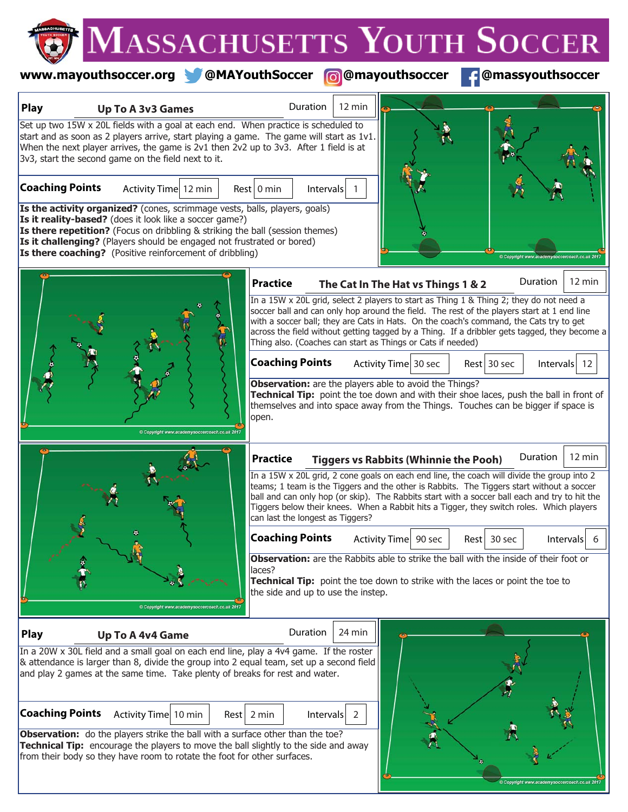#### **www.mayouthsoccer.org @MAYouthSoccer @mayouthsoccer @massyouthsoccer**

| <b>Play</b><br><b>Up To A 3v3 Games</b>                                                                                                                                                                                                                                                                                                                                                                                                                                                                                                                                                                           | Duration<br>12 min                                                                                                                                                                                                                                                                                                                                                                                                                             |  |  |  |  |  |  |  |  |
|-------------------------------------------------------------------------------------------------------------------------------------------------------------------------------------------------------------------------------------------------------------------------------------------------------------------------------------------------------------------------------------------------------------------------------------------------------------------------------------------------------------------------------------------------------------------------------------------------------------------|------------------------------------------------------------------------------------------------------------------------------------------------------------------------------------------------------------------------------------------------------------------------------------------------------------------------------------------------------------------------------------------------------------------------------------------------|--|--|--|--|--|--|--|--|
| Set up two 15W x 20L fields with a goal at each end. When practice is scheduled to<br>start and as soon as 2 players arrive, start playing a game. The game will start as 1v1.<br>When the next player arrives, the game is 2v1 then 2v2 up to 3v3. After 1 field is at<br>3v3, start the second game on the field next to it.<br><b>Coaching Points</b><br>Activity Time 12 min<br>Is the activity organized? (cones, scrimmage vests, balls, players, goals)<br>Is it reality-based? (does it look like a soccer game?)<br><b>Is there repetition?</b> (Focus on dribbling & striking the ball (session themes) | $Rest$ 0 min<br>Intervals                                                                                                                                                                                                                                                                                                                                                                                                                      |  |  |  |  |  |  |  |  |
| <b>Is it challenging?</b> (Players should be engaged not frustrated or bored)<br><b>Is there coaching?</b> (Positive reinforcement of dribbling)                                                                                                                                                                                                                                                                                                                                                                                                                                                                  |                                                                                                                                                                                                                                                                                                                                                                                                                                                |  |  |  |  |  |  |  |  |
|                                                                                                                                                                                                                                                                                                                                                                                                                                                                                                                                                                                                                   | 12 min<br>Duration<br><b>Practice</b><br>The Cat In The Hat vs Things 1 & 2                                                                                                                                                                                                                                                                                                                                                                    |  |  |  |  |  |  |  |  |
|                                                                                                                                                                                                                                                                                                                                                                                                                                                                                                                                                                                                                   | In a 15W x 20L grid, select 2 players to start as Thing 1 & Thing 2; they do not need a<br>soccer ball and can only hop around the field. The rest of the players start at 1 end line<br>with a soccer ball; they are Cats in Hats. On the coach's command, the Cats try to get<br>across the field without getting tagged by a Thing. If a dribbler gets tagged, they become a<br>Thing also. (Coaches can start as Things or Cats if needed) |  |  |  |  |  |  |  |  |
|                                                                                                                                                                                                                                                                                                                                                                                                                                                                                                                                                                                                                   | <b>Coaching Points</b><br>Activity Time 30 sec<br>Rest 30 sec<br>Intervals 12                                                                                                                                                                                                                                                                                                                                                                  |  |  |  |  |  |  |  |  |
|                                                                                                                                                                                                                                                                                                                                                                                                                                                                                                                                                                                                                   | Observation: are the players able to avoid the Things?<br>Technical Tip: point the toe down and with their shoe laces, push the ball in front of<br>themselves and into space away from the Things. Touches can be bigger if space is<br>open.                                                                                                                                                                                                 |  |  |  |  |  |  |  |  |
|                                                                                                                                                                                                                                                                                                                                                                                                                                                                                                                                                                                                                   | Duration<br>12 min<br><b>Practice</b><br><b>Tiggers vs Rabbits (Whinnie the Pooh)</b>                                                                                                                                                                                                                                                                                                                                                          |  |  |  |  |  |  |  |  |
|                                                                                                                                                                                                                                                                                                                                                                                                                                                                                                                                                                                                                   | In a 15W x 20L grid, 2 cone goals on each end line, the coach will divide the group into 2<br>teams; 1 team is the Tiggers and the other is Rabbits. The Tiggers start without a soccer<br>ball and can only hop (or skip). The Rabbits start with a soccer ball each and try to hit the<br>Tiggers below their knees. When a Rabbit hits a Tigger, they switch roles. Which players<br>can last the longest as Tiggers?                       |  |  |  |  |  |  |  |  |
|                                                                                                                                                                                                                                                                                                                                                                                                                                                                                                                                                                                                                   | <b>Coaching Points</b><br>Activity Time 90 sec<br>Rest 30 sec<br>Intervals<br>- 6                                                                                                                                                                                                                                                                                                                                                              |  |  |  |  |  |  |  |  |
| Copyright www.acaden                                                                                                                                                                                                                                                                                                                                                                                                                                                                                                                                                                                              | <b>Observation:</b> are the Rabbits able to strike the ball with the inside of their foot or<br>laces?<br>Technical Tip: point the toe down to strike with the laces or point the toe to<br>the side and up to use the instep.                                                                                                                                                                                                                 |  |  |  |  |  |  |  |  |
| Play<br><b>Up To A 4v4 Game</b>                                                                                                                                                                                                                                                                                                                                                                                                                                                                                                                                                                                   | Duration<br>24 min                                                                                                                                                                                                                                                                                                                                                                                                                             |  |  |  |  |  |  |  |  |
| In a 20W x 30L field and a small goal on each end line, play a 4v4 game. If the roster<br>& attendance is larger than 8, divide the group into 2 equal team, set up a second field<br>and play 2 games at the same time. Take plenty of breaks for rest and water.<br><b>Coaching Points</b><br>Activity Time 10 min<br><b>Observation:</b> do the players strike the ball with a surface other than the toe?<br><b>Technical Tip:</b> encourage the players to move the ball slightly to the side and away<br>from their body so they have room to rotate the foot for other surfaces.                           | 2 min<br>Intervals<br>Rest  <br><sup>2</sup>                                                                                                                                                                                                                                                                                                                                                                                                   |  |  |  |  |  |  |  |  |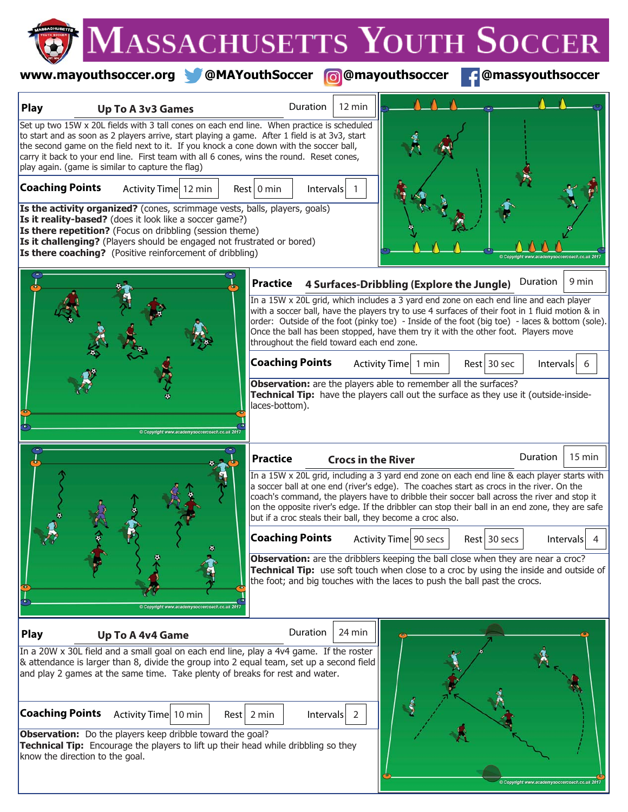|                        |                                                                                                                                                                                                                                                                                                                                                                                                                                           | MASSACHUSETTS YOUTH SOCCER                                                                                                                                                                                                                                                                                                                                                                                                                             |
|------------------------|-------------------------------------------------------------------------------------------------------------------------------------------------------------------------------------------------------------------------------------------------------------------------------------------------------------------------------------------------------------------------------------------------------------------------------------------|--------------------------------------------------------------------------------------------------------------------------------------------------------------------------------------------------------------------------------------------------------------------------------------------------------------------------------------------------------------------------------------------------------------------------------------------------------|
|                        | www.mayouthsoccer.org @MAYouthSoccer                                                                                                                                                                                                                                                                                                                                                                                                      | <b>C</b> @mayouthsoccer<br>@massyouthsoccer                                                                                                                                                                                                                                                                                                                                                                                                            |
| <b>Play</b>            | <b>Up To A 3v3 Games</b>                                                                                                                                                                                                                                                                                                                                                                                                                  | Duration<br>12 min                                                                                                                                                                                                                                                                                                                                                                                                                                     |
|                        | Set up two 15W x 20L fields with 3 tall cones on each end line. When practice is scheduled<br>to start and as soon as 2 players arrive, start playing a game. After 1 field is at 3v3, start<br>the second game on the field next to it. If you knock a cone down with the soccer ball,<br>carry it back to your end line. First team with all 6 cones, wins the round. Reset cones,<br>play again. (game is similar to capture the flag) |                                                                                                                                                                                                                                                                                                                                                                                                                                                        |
| <b>Coaching Points</b> | Activity Time 12 min<br>Is the activity organized? (cones, scrimmage vests, balls, players, goals)                                                                                                                                                                                                                                                                                                                                        | Rest 0 min<br>Intervals                                                                                                                                                                                                                                                                                                                                                                                                                                |
|                        | Is it reality-based? (does it look like a soccer game?)<br>Is there repetition? (Focus on dribbling (session theme)<br>Is it challenging? (Players should be engaged not frustrated or bored)<br>Is there coaching? (Positive reinforcement of dribbling)                                                                                                                                                                                 |                                                                                                                                                                                                                                                                                                                                                                                                                                                        |
|                        |                                                                                                                                                                                                                                                                                                                                                                                                                                           | 9 min<br>Duration<br><b>Practice</b><br>4 Surfaces-Dribbling (Explore the Jungle)                                                                                                                                                                                                                                                                                                                                                                      |
|                        |                                                                                                                                                                                                                                                                                                                                                                                                                                           | In a 15W x 20L grid, which includes a 3 yard end zone on each end line and each player<br>with a soccer ball, have the players try to use 4 surfaces of their foot in 1 fluid motion & in<br>order: Outside of the foot (pinky toe) - Inside of the foot (big toe) - laces & bottom (sole).<br>Once the ball has been stopped, have them try it with the other foot. Players move<br>throughout the field toward each end zone.                        |
|                        |                                                                                                                                                                                                                                                                                                                                                                                                                                           | <b>Coaching Points</b><br>Activity Time 1 min<br>Rest 30 sec<br>Intervals<br>6                                                                                                                                                                                                                                                                                                                                                                         |
|                        |                                                                                                                                                                                                                                                                                                                                                                                                                                           | Observation: are the players able to remember all the surfaces?<br>Technical Tip: have the players call out the surface as they use it (outside-inside-<br>laces-bottom).                                                                                                                                                                                                                                                                              |
|                        |                                                                                                                                                                                                                                                                                                                                                                                                                                           | Duration<br>15 min<br><b>Practice</b><br><b>Crocs in the River</b>                                                                                                                                                                                                                                                                                                                                                                                     |
|                        |                                                                                                                                                                                                                                                                                                                                                                                                                                           | In a 15W x 20L grid, including a 3 yard end zone on each end line & each player starts with<br>a soccer ball at one end (river's edge). The coaches start as crocs in the river. On the<br>coach's command, the players have to dribble their soccer ball across the river and stop it<br>on the opposite river's edge. If the dribbler can stop their ball in an end zone, they are safe<br>but if a croc steals their ball, they become a croc also. |
|                        |                                                                                                                                                                                                                                                                                                                                                                                                                                           | <b>Coaching Points</b><br>$Rest$ 30 secs<br>Activity Time 90 secs<br>Intervals<br>-4                                                                                                                                                                                                                                                                                                                                                                   |
|                        |                                                                                                                                                                                                                                                                                                                                                                                                                                           | Observation: are the dribblers keeping the ball close when they are near a croc?<br>Technical Tip: use soft touch when close to a croc by using the inside and outside of<br>the foot; and big touches with the laces to push the ball past the crocs.                                                                                                                                                                                                 |
| <b>Play</b>            | <b>Up To A 4v4 Game</b>                                                                                                                                                                                                                                                                                                                                                                                                                   | Duration<br>24 min                                                                                                                                                                                                                                                                                                                                                                                                                                     |
|                        | In a 20W x 30L field and a small goal on each end line, play a 4v4 game. If the roster<br>& attendance is larger than 8, divide the group into 2 equal team, set up a second field<br>and play 2 games at the same time. Take plenty of breaks for rest and water.                                                                                                                                                                        |                                                                                                                                                                                                                                                                                                                                                                                                                                                        |
| <b>Coaching Points</b> | Activity Time 10 min                                                                                                                                                                                                                                                                                                                                                                                                                      | $Rest$ 2 min<br>Intervals<br>$\overline{2}$                                                                                                                                                                                                                                                                                                                                                                                                            |
|                        | Observation: Do the players keep dribble toward the goal?<br><b>Technical Tip:</b> Focourage the players to lift up their head while dribbling so they                                                                                                                                                                                                                                                                                    |                                                                                                                                                                                                                                                                                                                                                                                                                                                        |

ght www.academ

**Technical Tip:** Encourage the players to lift up their head while dribbling so they know the direction to the goal.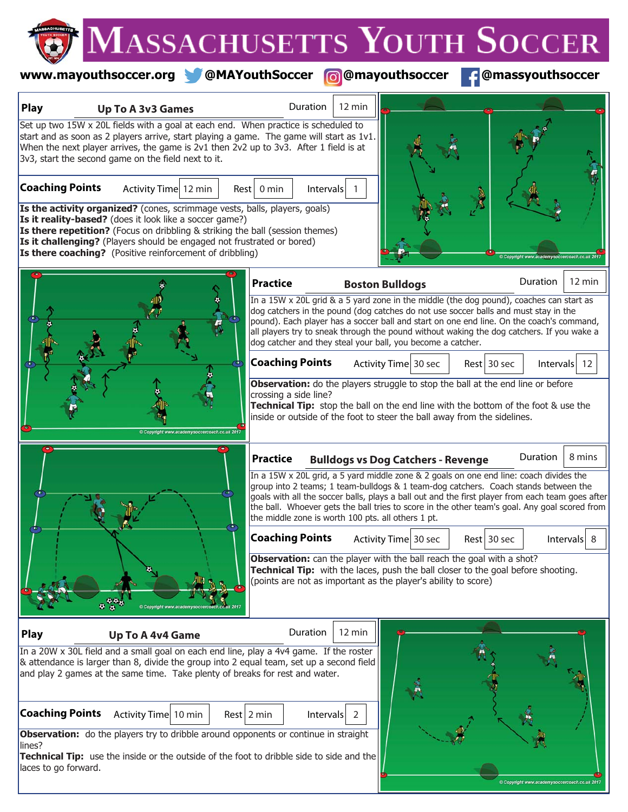### **www.mayouthsoccer.org @MAYouthSoccer @mayouthsoccer @massyouthsoccer**

Copyright www.academysoccere

| Set up two 15W x 20L fields with a goal at each end. When practice is scheduled to<br>start and as soon as 2 players arrive, start playing a game. The game will start as $1v1$ .<br>When the next player arrives, the game is 2v1 then 2v2 up to 3v3. After 1 field is at<br>3v3, start the second game on the field next to it.<br><b>Coaching Points</b><br>Activity Time 12 min<br>$Rest \mid 0$ min<br>Intervals<br>Is the activity organized? (cones, scrimmage vests, balls, players, goals)<br>Is it reality-based? (does it look like a soccer game?)<br>Is there repetition? (Focus on dribbling & striking the ball (session themes)<br>Is it challenging? (Players should be engaged not frustrated or bored)<br>Is there coaching? (Positive reinforcement of dribbling)<br>Duration<br><b>Practice</b><br><b>Boston Bulldogs</b><br>In a 15W x 20L grid & a 5 yard zone in the middle (the dog pound), coaches can start as<br>dog catchers in the pound (dog catches do not use soccer balls and must stay in the<br>pound). Each player has a soccer ball and start on one end line. On the coach's command,<br>all players try to sneak through the pound without waking the dog catchers. If you wake a | $12 \text{ min}$ |
|---------------------------------------------------------------------------------------------------------------------------------------------------------------------------------------------------------------------------------------------------------------------------------------------------------------------------------------------------------------------------------------------------------------------------------------------------------------------------------------------------------------------------------------------------------------------------------------------------------------------------------------------------------------------------------------------------------------------------------------------------------------------------------------------------------------------------------------------------------------------------------------------------------------------------------------------------------------------------------------------------------------------------------------------------------------------------------------------------------------------------------------------------------------------------------------------------------------------------|------------------|
|                                                                                                                                                                                                                                                                                                                                                                                                                                                                                                                                                                                                                                                                                                                                                                                                                                                                                                                                                                                                                                                                                                                                                                                                                           |                  |
| dog catcher and they steal your ball, you become a catcher.                                                                                                                                                                                                                                                                                                                                                                                                                                                                                                                                                                                                                                                                                                                                                                                                                                                                                                                                                                                                                                                                                                                                                               |                  |
| <b>Coaching Points</b><br>Rest 30 sec<br>Activity Time 30 sec<br>Intervals $12$<br>Observation: do the players struggle to stop the ball at the end line or before<br>crossing a side line?<br>Technical Tip: stop the ball on the end line with the bottom of the foot & use the<br>inside or outside of the foot to steer the ball away from the sidelines.                                                                                                                                                                                                                                                                                                                                                                                                                                                                                                                                                                                                                                                                                                                                                                                                                                                             |                  |
| Duration<br><b>Practice</b><br><b>Bulldogs vs Dog Catchers - Revenge</b><br>In a 15W x 20L grid, a 5 yard middle zone & 2 goals on one end line: coach divides the<br>group into 2 teams; 1 team-bulldogs & 1 team-dog catchers. Coach stands between the<br>goals with all the soccer balls, plays a ball out and the first player from each team goes after<br>the ball. Whoever gets the ball tries to score in the other team's goal. Any goal scored from<br>the middle zone is worth 100 pts. all others 1 pt.                                                                                                                                                                                                                                                                                                                                                                                                                                                                                                                                                                                                                                                                                                      | 8 mins           |
| <b>Coaching Points</b><br>Activity Time 30 sec<br>Rest 30 sec<br>Intervals<br>Observation: can the player with the ball reach the goal with a shot?<br>Technical Tip: with the laces, push the ball closer to the goal before shooting.<br>(points are not as important as the player's ability to score)<br>中華縣<br>Copy                                                                                                                                                                                                                                                                                                                                                                                                                                                                                                                                                                                                                                                                                                                                                                                                                                                                                                  | 8                |
| Duration<br>12 min<br><b>Play</b><br><b>Up To A 4v4 Game</b>                                                                                                                                                                                                                                                                                                                                                                                                                                                                                                                                                                                                                                                                                                                                                                                                                                                                                                                                                                                                                                                                                                                                                              |                  |
| In a 20W x 30L field and a small goal on each end line, play a 4v4 game. If the roster<br>& attendance is larger than 8, divide the group into 2 equal team, set up a second field<br>and play 2 games at the same time. Take plenty of breaks for rest and water.<br><b>Coaching Points</b><br>Activity Time 10 min<br>$Rest$ 2 min<br>$\left  \right $ 1 htervals $\left  2 \right $<br>Observation: do the players try to dribble around opponents or continue in straight<br>lines?<br>Technical Tip: use the inside or the outside of the foot to dribble side to side and the                                                                                                                                                                                                                                                                                                                                                                                                                                                                                                                                                                                                                                       |                  |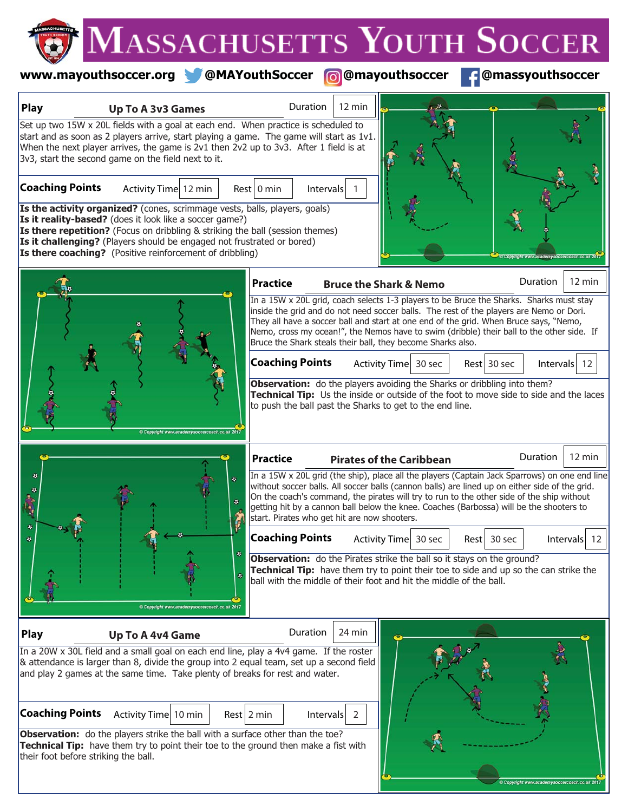### **www.mayouthsoccer.org @MAYouthSoccer @@mayouthsoccer <b>@**@massyouthsoccer

| Play                                 | <b>Up To A 3v3 Games</b>                                                                                                                                                                                                                                                                                                                                                                                                                    | Duration                                                                                                                                                                                                                                                                                                                                                                                                                                | 12 min                    |                                   |                |          |                  |
|--------------------------------------|---------------------------------------------------------------------------------------------------------------------------------------------------------------------------------------------------------------------------------------------------------------------------------------------------------------------------------------------------------------------------------------------------------------------------------------------|-----------------------------------------------------------------------------------------------------------------------------------------------------------------------------------------------------------------------------------------------------------------------------------------------------------------------------------------------------------------------------------------------------------------------------------------|---------------------------|-----------------------------------|----------------|----------|------------------|
| <b>Coaching Points</b>               | Set up two 15W x 20L fields with a goal at each end. When practice is scheduled to<br>start and as soon as 2 players arrive, start playing a game. The game will start as 1v1.<br>When the next player arrives, the game is 2v1 then 2v2 up to 3v3. After 1 field is at<br>3v3, start the second game on the field next to it.<br>Activity Time 12 min<br><b>Is the activity organized?</b> (cones, scrimmage vests, balls, players, goals) | $Rest$ 0 min                                                                                                                                                                                                                                                                                                                                                                                                                            | Intervals                 |                                   |                |          |                  |
|                                      | Is it reality-based? (does it look like a soccer game?)<br>Is there repetition? (Focus on dribbling & striking the ball (session themes)<br>Is it challenging? (Players should be engaged not frustrated or bored)<br><b>Is there coaching?</b> (Positive reinforcement of dribbling)                                                                                                                                                       |                                                                                                                                                                                                                                                                                                                                                                                                                                         |                           |                                   |                |          |                  |
|                                      |                                                                                                                                                                                                                                                                                                                                                                                                                                             | <b>Practice</b>                                                                                                                                                                                                                                                                                                                                                                                                                         |                           | <b>Bruce the Shark &amp; Nemo</b> |                | Duration | $12 \text{ min}$ |
|                                      |                                                                                                                                                                                                                                                                                                                                                                                                                                             | In a 15W x 20L grid, coach selects 1-3 players to be Bruce the Sharks. Sharks must stay<br>inside the grid and do not need soccer balls. The rest of the players are Nemo or Dori.<br>They all have a soccer ball and start at one end of the grid. When Bruce says, "Nemo,<br>Nemo, cross my ocean!", the Nemos have to swim (dribble) their ball to the other side. If<br>Bruce the Shark steals their ball, they become Sharks also. |                           |                                   |                |          |                  |
|                                      |                                                                                                                                                                                                                                                                                                                                                                                                                                             | <b>Coaching Points</b>                                                                                                                                                                                                                                                                                                                                                                                                                  |                           | Activity Time 30 sec              | Rest 30 sec    |          | Intervals $12$   |
|                                      |                                                                                                                                                                                                                                                                                                                                                                                                                                             | Observation: do the players avoiding the Sharks or dribbling into them?<br>Technical Tip: Us the inside or outside of the foot to move side to side and the laces<br>to push the ball past the Sharks to get to the end line.                                                                                                                                                                                                           |                           |                                   |                |          |                  |
|                                      |                                                                                                                                                                                                                                                                                                                                                                                                                                             | <b>Practice</b>                                                                                                                                                                                                                                                                                                                                                                                                                         |                           | <b>Pirates of the Caribbean</b>   |                | Duration | 12 min           |
|                                      | $\ddot{\phantom{a}}$<br>٠                                                                                                                                                                                                                                                                                                                                                                                                                   | In a 15W x 20L grid (the ship), place all the players (Captain Jack Sparrows) on one end line<br>without soccer balls. All soccer balls (cannon balls) are lined up on either side of the grid.<br>On the coach's command, the pirates will try to run to the other side of the ship without<br>getting hit by a cannon ball below the knee. Coaches (Barbossa) will be the shooters to<br>start. Pirates who get hit are now shooters. |                           |                                   |                |          |                  |
|                                      | ۰<br>Copyright www.academysoccercoach.co.uk 201                                                                                                                                                                                                                                                                                                                                                                                             | <b>Coaching Points</b><br><b>Observation:</b> do the Pirates strike the ball so it stays on the ground?<br>Technical Tip: have them try to point their toe to side and up so the can strike the<br>ball with the middle of their foot and hit the middle of the ball.                                                                                                                                                                   |                           | Activity Time 30 sec              | 30 sec<br>Rest |          | Intervals<br>12  |
| <b>Play</b>                          | Up To A 4v4 Game                                                                                                                                                                                                                                                                                                                                                                                                                            | Duration                                                                                                                                                                                                                                                                                                                                                                                                                                | 24 min                    |                                   |                |          |                  |
|                                      | In a 20W x 30L field and a small goal on each end line, play a 4v4 game. If the roster<br>& attendance is larger than 8, divide the group into 2 equal team, set up a second field<br>and play 2 games at the same time. Take plenty of breaks for rest and water.                                                                                                                                                                          |                                                                                                                                                                                                                                                                                                                                                                                                                                         |                           |                                   |                |          |                  |
| <b>Coaching Points</b>               | Activity Time 10 min                                                                                                                                                                                                                                                                                                                                                                                                                        | $Rest$ 2 min                                                                                                                                                                                                                                                                                                                                                                                                                            | Intervals<br><sup>2</sup> |                                   |                |          |                  |
| their foot before striking the ball. | Observation: do the players strike the ball with a surface other than the toe?<br>Technical Tip: have them try to point their toe to the ground then make a fist with                                                                                                                                                                                                                                                                       |                                                                                                                                                                                                                                                                                                                                                                                                                                         |                           |                                   |                |          |                  |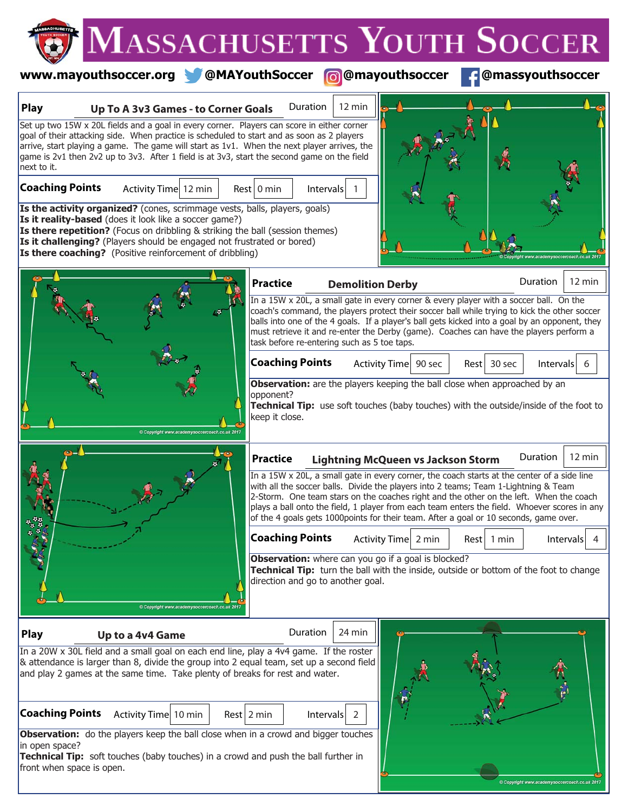|                        |                                                                                                                                                                                                                                                                                                                                                                                        | <b>MASSACHUSETTS YOUTH SOCCER</b>                                                                                                                                                                                                                                                                                                                                                                                                                                     |                  |
|------------------------|----------------------------------------------------------------------------------------------------------------------------------------------------------------------------------------------------------------------------------------------------------------------------------------------------------------------------------------------------------------------------------------|-----------------------------------------------------------------------------------------------------------------------------------------------------------------------------------------------------------------------------------------------------------------------------------------------------------------------------------------------------------------------------------------------------------------------------------------------------------------------|------------------|
|                        |                                                                                                                                                                                                                                                                                                                                                                                        | www.mayouthsoccer.org @MAYouthSoccer @@mayouthsoccer<br>@massyouthsoccer                                                                                                                                                                                                                                                                                                                                                                                              |                  |
| <b>Play</b>            | Up To A 3v3 Games - to Corner Goals                                                                                                                                                                                                                                                                                                                                                    | Duration<br>12 min                                                                                                                                                                                                                                                                                                                                                                                                                                                    |                  |
| next to it.            | Set up two 15W x 20L fields and a goal in every corner. Players can score in either corner<br>goal of their attacking side. When practice is scheduled to start and as soon as 2 players<br>arrive, start playing a game. The game will start as 1v1. When the next player arrives, the<br>game is 2v1 then 2v2 up to 3v3. After 1 field is at 3v3, start the second game on the field |                                                                                                                                                                                                                                                                                                                                                                                                                                                                       |                  |
| <b>Coaching Points</b> | Activity Time 12 min<br>Is the activity organized? (cones, scrimmage vests, balls, players, goals)                                                                                                                                                                                                                                                                                     | Rest   0 min<br>Intervals                                                                                                                                                                                                                                                                                                                                                                                                                                             |                  |
|                        | Is it reality-based (does it look like a soccer game?)<br>Is there repetition? (Focus on dribbling & striking the ball (session themes)<br>Is it challenging? (Players should be engaged not frustrated or bored)<br>Is there coaching? (Positive reinforcement of dribbling)                                                                                                          |                                                                                                                                                                                                                                                                                                                                                                                                                                                                       |                  |
|                        |                                                                                                                                                                                                                                                                                                                                                                                        | Duration<br><b>Practice</b><br><b>Demolition Derby</b>                                                                                                                                                                                                                                                                                                                                                                                                                | 12 min           |
|                        |                                                                                                                                                                                                                                                                                                                                                                                        | In a 15W x 20L, a small gate in every corner & every player with a soccer ball. On the<br>coach's command, the players protect their soccer ball while trying to kick the other soccer<br>balls into one of the 4 goals. If a player's ball gets kicked into a goal by an opponent, they<br>must retrieve it and re-enter the Derby (game). Coaches can have the players perform a<br>task before re-entering such as 5 toe taps.                                     |                  |
|                        |                                                                                                                                                                                                                                                                                                                                                                                        | <b>Coaching Points</b><br>Activity Time 90 sec<br>$Rest$ 30 sec                                                                                                                                                                                                                                                                                                                                                                                                       | Intervals<br>6   |
|                        |                                                                                                                                                                                                                                                                                                                                                                                        | Observation: are the players keeping the ball close when approached by an<br>opponent?<br>Technical Tip: use soft touches (baby touches) with the outside/inside of the foot to<br>keep it close.                                                                                                                                                                                                                                                                     |                  |
|                        |                                                                                                                                                                                                                                                                                                                                                                                        | Duration<br><b>Practice</b><br><b>Lightning McQueen vs Jackson Storm</b>                                                                                                                                                                                                                                                                                                                                                                                              | $12 \text{ min}$ |
|                        |                                                                                                                                                                                                                                                                                                                                                                                        | In a 15W x 20L, a small gate in every corner, the coach starts at the center of a side line<br>with all the soccer balls. Divide the players into 2 teams; Team 1-Lightning & Team<br>2-Storm. One team stars on the coaches right and the other on the left. When the coach<br>plays a ball onto the field, 1 player from each team enters the field. Whoever scores in any<br>of the 4 goals gets 1000points for their team. After a goal or 10 seconds, game over. |                  |
|                        |                                                                                                                                                                                                                                                                                                                                                                                        | <b>Coaching Points</b><br>Activity Time 2 min<br>$Rest$   1 min                                                                                                                                                                                                                                                                                                                                                                                                       | Intervals<br>4   |
|                        |                                                                                                                                                                                                                                                                                                                                                                                        | Observation: where can you go if a goal is blocked?<br>Technical Tip: turn the ball with the inside, outside or bottom of the foot to change<br>direction and go to another goal.                                                                                                                                                                                                                                                                                     |                  |
| <b>Play</b>            | Up to a 4v4 Game                                                                                                                                                                                                                                                                                                                                                                       | Duration<br>24 min                                                                                                                                                                                                                                                                                                                                                                                                                                                    |                  |
|                        | In a 20W x 30L field and a small goal on each end line, play a 4v4 game. If the roster<br>& attendance is larger than 8, divide the group into 2 equal team, set up a second field<br>and play 2 games at the same time. Take plenty of breaks for rest and water.                                                                                                                     |                                                                                                                                                                                                                                                                                                                                                                                                                                                                       |                  |
| <b>Coaching Points</b> | Activity Time 10 min                                                                                                                                                                                                                                                                                                                                                                   | $Rest$ 2 min<br>Intervals<br>-2                                                                                                                                                                                                                                                                                                                                                                                                                                       |                  |
| in open space?         | Observation: do the players keep the ball close when in a crowd and bigger touches                                                                                                                                                                                                                                                                                                     |                                                                                                                                                                                                                                                                                                                                                                                                                                                                       |                  |

Copyright www.academysoccercoach.co.uk 2017

**Technical Tip:** soft touches (baby touches) in a crowd and push the ball further in front when space is open.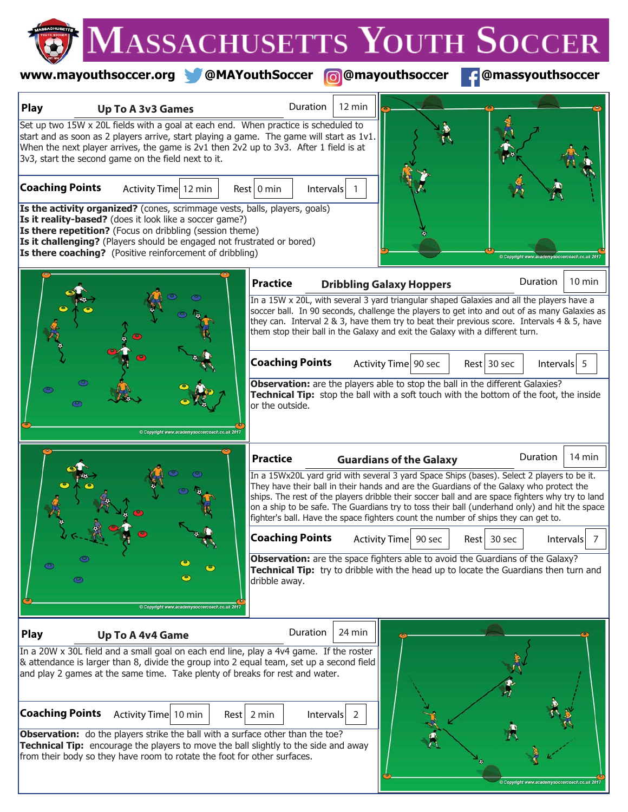### **www.mayouthsoccer.org @MAYouthSoccer @@mayouthsoccer <b>f** @massyouthsoccer

| <b>Play</b>            | <b>Up To A 3v3 Games</b>                                                                                                                                                                                                                                                                                                                                                                                                                                                                                                                                                                                                                                                                                 | $12 \text{ min}$<br>Duration                                                                                                                                                                                                                                                                                                                                                                                                                                                                                                                               |   |
|------------------------|----------------------------------------------------------------------------------------------------------------------------------------------------------------------------------------------------------------------------------------------------------------------------------------------------------------------------------------------------------------------------------------------------------------------------------------------------------------------------------------------------------------------------------------------------------------------------------------------------------------------------------------------------------------------------------------------------------|------------------------------------------------------------------------------------------------------------------------------------------------------------------------------------------------------------------------------------------------------------------------------------------------------------------------------------------------------------------------------------------------------------------------------------------------------------------------------------------------------------------------------------------------------------|---|
| <b>Coaching Points</b> | Set up two 15W x 20L fields with a goal at each end. When practice is scheduled to<br>start and as soon as 2 players arrive, start playing a game. The game will start as 1v1.<br>When the next player arrives, the game is 2v1 then 2v2 up to 3v3. After 1 field is at<br>3v3, start the second game on the field next to it.<br>Activity Time 12 min<br>Is the activity organized? (cones, scrimmage vests, balls, players, goals)<br>Is it reality-based? (does it look like a soccer game?)<br>Is there repetition? (Focus on dribbling (session theme)<br>Is it challenging? (Players should be engaged not frustrated or bored)<br><b>Is there coaching?</b> (Positive reinforcement of dribbling) | Rest 0 min<br>Intervals                                                                                                                                                                                                                                                                                                                                                                                                                                                                                                                                    |   |
|                        |                                                                                                                                                                                                                                                                                                                                                                                                                                                                                                                                                                                                                                                                                                          | Duration<br>10 min<br><b>Practice</b><br><b>Dribbling Galaxy Hoppers</b><br>In a 15W x 20L, with several 3 yard triangular shaped Galaxies and all the players have a<br>soccer ball. In 90 seconds, challenge the players to get into and out of as many Galaxies as<br>they can. Interval 2 & 3, have them try to beat their previous score. Intervals 4 & 5, have<br>them stop their ball in the Galaxy and exit the Galaxy with a different turn.                                                                                                      |   |
|                        |                                                                                                                                                                                                                                                                                                                                                                                                                                                                                                                                                                                                                                                                                                          | <b>Coaching Points</b><br>Activity Time 90 sec<br>Rest 30 sec<br>Intervals $5$<br>Observation: are the players able to stop the ball in the different Galaxies?<br><b>Technical Tip:</b> stop the ball with a soft touch with the bottom of the foot, the inside<br>or the outside.                                                                                                                                                                                                                                                                        |   |
|                        |                                                                                                                                                                                                                                                                                                                                                                                                                                                                                                                                                                                                                                                                                                          | Duration<br>14 min<br><b>Practice</b><br><b>Guardians of the Galaxy</b><br>In a 15Wx20L yard grid with several 3 yard Space Ships (bases). Select 2 players to be it.<br>They have their ball in their hands and are the Guardians of the Galaxy who protect the<br>ships. The rest of the players dribble their soccer ball and are space fighters why try to land<br>on a ship to be safe. The Guardians try to toss their ball (underhand only) and hit the space<br>fighter's ball. Have the space fighters count the number of ships they can get to. |   |
| ◉<br>ඏ                 | Copyright www.academysoccercoach.co.u                                                                                                                                                                                                                                                                                                                                                                                                                                                                                                                                                                                                                                                                    | <b>Coaching Points</b><br>Activity Time 90 sec<br>Rest 30 sec<br><b>Intervals</b><br>Observation: are the space fighters able to avoid the Guardians of the Galaxy?<br>Technical Tip: try to dribble with the head up to locate the Guardians then turn and<br>dribble away.                                                                                                                                                                                                                                                                               | 7 |
| <b>Play</b>            | <b>Up To A 4v4 Game</b><br>In a 20W x 30L field and a small goal on each end line, play a 4v4 game. If the roster<br>$\alpha$ attendance is larger than 8, divide the group into 2 equal team, set up a second field<br>and play 2 games at the same time. Take plenty of breaks for rest and water.                                                                                                                                                                                                                                                                                                                                                                                                     | Duration<br>24 min                                                                                                                                                                                                                                                                                                                                                                                                                                                                                                                                         |   |
| <b>Coaching Points</b> | Activity Time 10 min<br>Observation: do the players strike the ball with a surface other than the toe?<br><b>Technical Tip:</b> encourage the players to move the ball slightly to the side and away<br>from their body so they have room to rotate the foot for other surfaces.                                                                                                                                                                                                                                                                                                                                                                                                                         | $Rest$ 2 min<br>Intervals<br>2                                                                                                                                                                                                                                                                                                                                                                                                                                                                                                                             |   |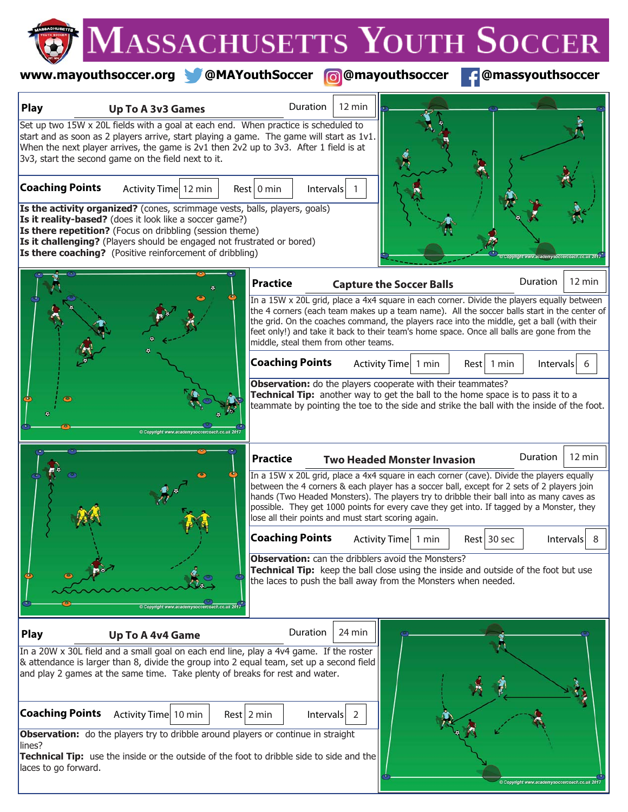## **www.mayouthsoccer.org @MAYouthSoccer @@mayouthsoccer <b>f** @massyouthsoccer

| <b>Play</b>                    | Up To A 3v3 Games                                                                                                                                                                                                                                                                                                                                               | Duration                                                                                                                                                                                                                                                                                                                                                                                                                                | $12 \text{ min}$               |                                    |                 |                 |                  |
|--------------------------------|-----------------------------------------------------------------------------------------------------------------------------------------------------------------------------------------------------------------------------------------------------------------------------------------------------------------------------------------------------------------|-----------------------------------------------------------------------------------------------------------------------------------------------------------------------------------------------------------------------------------------------------------------------------------------------------------------------------------------------------------------------------------------------------------------------------------------|--------------------------------|------------------------------------|-----------------|-----------------|------------------|
|                                | Set up two 15W x 20L fields with a goal at each end. When practice is scheduled to<br>start and as soon as 2 players arrive, start playing a game. The game will start as 1v1.<br>When the next player arrives, the game is 2v1 then 2v2 up to 3v3. After 1 field is at<br>3v3, start the second game on the field next to it.                                  |                                                                                                                                                                                                                                                                                                                                                                                                                                         |                                |                                    |                 |                 |                  |
| <b>Coaching Points</b>         | Activity Time 12 min<br>Is the activity organized? (cones, scrimmage vests, balls, players, goals)<br>Is it reality-based? (does it look like a soccer game?)<br>Is there repetition? (Focus on dribbling (session theme)<br>Is it challenging? (Players should be engaged not frustrated or bored)<br>Is there coaching? (Positive reinforcement of dribbling) | Rest 0 min<br>Intervals                                                                                                                                                                                                                                                                                                                                                                                                                 |                                |                                    |                 |                 |                  |
|                                |                                                                                                                                                                                                                                                                                                                                                                 | <b>Practice</b>                                                                                                                                                                                                                                                                                                                                                                                                                         |                                | <b>Capture the Soccer Balls</b>    |                 | <b>Duration</b> | $12 \text{ min}$ |
|                                |                                                                                                                                                                                                                                                                                                                                                                 | In a 15W x 20L grid, place a 4x4 square in each corner. Divide the players equally between<br>the 4 corners (each team makes up a team name). All the soccer balls start in the center of<br>the grid. On the coaches command, the players race into the middle, get a ball (with their<br>feet only!) and take it back to their team's home space. Once all balls are gone from the<br>middle, steal them from other teams.            |                                |                                    |                 |                 |                  |
|                                |                                                                                                                                                                                                                                                                                                                                                                 | <b>Coaching Points</b>                                                                                                                                                                                                                                                                                                                                                                                                                  | Activity Time                  | 1 min                              | 1 min<br>Rest I | Intervals       | 6                |
|                                |                                                                                                                                                                                                                                                                                                                                                                 | <b>Observation:</b> do the players cooperate with their teammates?<br>Technical Tip: another way to get the ball to the home space is to pass it to a<br>teammate by pointing the toe to the side and strike the ball with the inside of the foot.                                                                                                                                                                                      |                                |                                    |                 |                 |                  |
|                                |                                                                                                                                                                                                                                                                                                                                                                 | <b>Practice</b>                                                                                                                                                                                                                                                                                                                                                                                                                         |                                | <b>Two Headed Monster Invasion</b> |                 | <b>Duration</b> | $12 \text{ min}$ |
|                                |                                                                                                                                                                                                                                                                                                                                                                 | In a 15W x 20L grid, place a 4x4 square in each corner (cave). Divide the players equally<br>between the 4 corners & each player has a soccer ball, except for 2 sets of 2 players join<br>hands (Two Headed Monsters). The players try to dribble their ball into as many caves as<br>possible. They get 1000 points for every cave they get into. If tagged by a Monster, they<br>lose all their points and must start scoring again. |                                |                                    |                 |                 |                  |
|                                |                                                                                                                                                                                                                                                                                                                                                                 | <b>Coaching Points</b>                                                                                                                                                                                                                                                                                                                                                                                                                  |                                | Activity Time 1 min                | Rest 30 sec     |                 | <b>Intervals</b> |
|                                |                                                                                                                                                                                                                                                                                                                                                                 | <b>Observation:</b> can the dribblers avoid the Monsters?<br>Technical Tip: keep the ball close using the inside and outside of the foot but use<br>the laces to push the ball away from the Monsters when needed.                                                                                                                                                                                                                      |                                |                                    |                 |                 |                  |
| <b>Play</b>                    | <b>Up To A 4v4 Game</b>                                                                                                                                                                                                                                                                                                                                         | Duration                                                                                                                                                                                                                                                                                                                                                                                                                                | 24 min                         |                                    |                 |                 |                  |
|                                | In a 20W x 30L field and a small goal on each end line, play a 4v4 game. If the roster<br>& attendance is larger than 8, divide the group into 2 equal team, set up a second field<br>and play 2 games at the same time. Take plenty of breaks for rest and water.                                                                                              |                                                                                                                                                                                                                                                                                                                                                                                                                                         |                                |                                    |                 |                 |                  |
| <b>Coaching Points</b>         | Activity Time 10 min<br><b>Observation:</b> do the players try to dribble around players or continue in straight                                                                                                                                                                                                                                                | Rest $2 \text{ min}$                                                                                                                                                                                                                                                                                                                                                                                                                    | $\left  \right $ 1 httervals 2 |                                    |                 |                 |                  |
| lines?<br>laces to go forward. | Technical Tip: use the inside or the outside of the foot to dribble side to side and the                                                                                                                                                                                                                                                                        |                                                                                                                                                                                                                                                                                                                                                                                                                                         |                                |                                    |                 |                 |                  |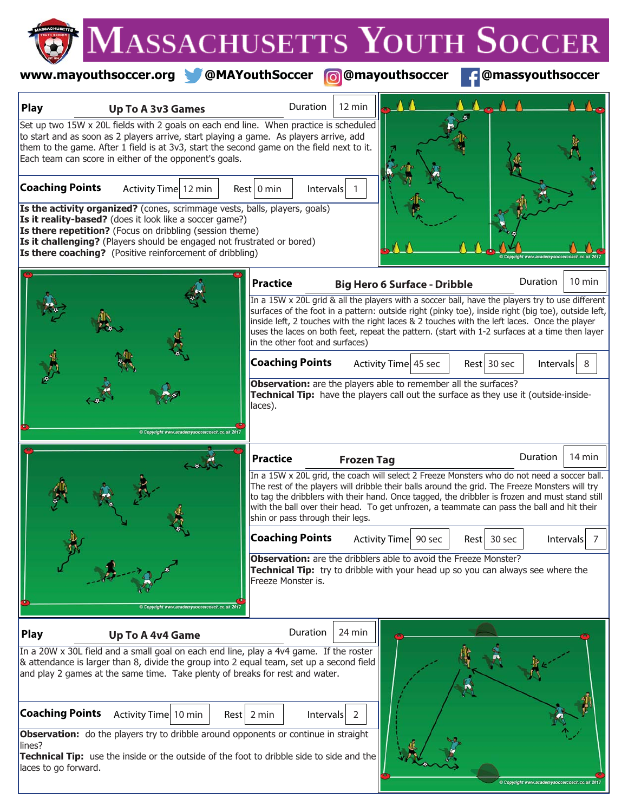# **www.mayouthsoccer.org @MAYouthSoccer @mayouthsoccer @massyouthsoccer**

| <b>Play</b>                    | <b>Up To A 3v3 Games</b>                                                                                                                                                                                                                                                                                                                                               | Duration                                                                                                                                                                                                                                                                                                                                                                                                                                    | 12 min            |                                     |             |                  |                  |
|--------------------------------|------------------------------------------------------------------------------------------------------------------------------------------------------------------------------------------------------------------------------------------------------------------------------------------------------------------------------------------------------------------------|---------------------------------------------------------------------------------------------------------------------------------------------------------------------------------------------------------------------------------------------------------------------------------------------------------------------------------------------------------------------------------------------------------------------------------------------|-------------------|-------------------------------------|-------------|------------------|------------------|
|                                | Set up two 15W x 20L fields with 2 goals on each end line. When practice is scheduled<br>to start and as soon as 2 players arrive, start playing a game. As players arrive, add<br>them to the game. After 1 field is at 3v3, start the second game on the field next to it.<br>Each team can score in either of the opponent's goals.                                 |                                                                                                                                                                                                                                                                                                                                                                                                                                             |                   |                                     |             |                  |                  |
| <b>Coaching Points</b>         | Activity Time 12 min<br>Is the activity organized? (cones, scrimmage vests, balls, players, goals)<br>Is it reality-based? (does it look like a soccer game?)<br><b>Is there repetition?</b> (Focus on dribbling (session theme)<br>Is it challenging? (Players should be engaged not frustrated or bored)<br>Is there coaching? (Positive reinforcement of dribbling) | $Rest$ 0 min<br>Intervals                                                                                                                                                                                                                                                                                                                                                                                                                   |                   |                                     |             |                  |                  |
|                                |                                                                                                                                                                                                                                                                                                                                                                        | <b>Practice</b>                                                                                                                                                                                                                                                                                                                                                                                                                             |                   | <b>Big Hero 6 Surface - Dribble</b> |             | Duration         | $10 \text{ min}$ |
|                                |                                                                                                                                                                                                                                                                                                                                                                        | In a 15W x 20L grid & all the players with a soccer ball, have the players try to use different<br>surfaces of the foot in a pattern: outside right (pinky toe), inside right (big toe), outside left,<br>inside left, 2 touches with the right laces & 2 touches with the left laces. Once the player<br>uses the laces on both feet, repeat the pattern. (start with 1-2 surfaces at a time then layer<br>in the other foot and surfaces) |                   |                                     |             |                  |                  |
|                                |                                                                                                                                                                                                                                                                                                                                                                        | <b>Coaching Points</b>                                                                                                                                                                                                                                                                                                                                                                                                                      |                   | Activity Time 45 sec                | Rest 30 sec | <b>Intervals</b> | 8                |
|                                |                                                                                                                                                                                                                                                                                                                                                                        | Observation: are the players able to remember all the surfaces?<br>Technical Tip: have the players call out the surface as they use it (outside-inside-<br>laces).                                                                                                                                                                                                                                                                          |                   |                                     |             |                  |                  |
|                                |                                                                                                                                                                                                                                                                                                                                                                        | <b>Practice</b>                                                                                                                                                                                                                                                                                                                                                                                                                             | <b>Frozen Tag</b> |                                     |             | Duration         | 14 min           |
|                                |                                                                                                                                                                                                                                                                                                                                                                        | In a 15W x 20L grid, the coach will select 2 Freeze Monsters who do not need a soccer ball.<br>The rest of the players will dribble their balls around the grid. The Freeze Monsters will try<br>to tag the dribblers with their hand. Once tagged, the dribbler is frozen and must stand still<br>with the ball over their head. To get unfrozen, a teammate can pass the ball and hit their<br>shin or pass through their legs.           |                   |                                     |             |                  |                  |
|                                |                                                                                                                                                                                                                                                                                                                                                                        | <b>Coaching Points</b>                                                                                                                                                                                                                                                                                                                                                                                                                      |                   | Activity Time 90 sec                | Rest 30 sec |                  | Intervals        |
|                                | Copyright www.academysoccercoach.co                                                                                                                                                                                                                                                                                                                                    | <b>Observation:</b> are the dribblers able to avoid the Freeze Monster?<br>Technical Tip: try to dribble with your head up so you can always see where the<br>Freeze Monster is.                                                                                                                                                                                                                                                            |                   |                                     |             |                  |                  |
| <b>Play</b>                    | <b>Up To A 4v4 Game</b>                                                                                                                                                                                                                                                                                                                                                | Duration                                                                                                                                                                                                                                                                                                                                                                                                                                    | 24 min            |                                     |             |                  |                  |
|                                | In a 20W x 30L field and a small goal on each end line, play a 4v4 game. If the roster<br>& attendance is larger than 8, divide the group into 2 equal team, set up a second field<br>and play 2 games at the same time. Take plenty of breaks for rest and water.                                                                                                     |                                                                                                                                                                                                                                                                                                                                                                                                                                             |                   |                                     |             |                  |                  |
| <b>Coaching Points</b>         | Activity Time 10 min                                                                                                                                                                                                                                                                                                                                                   | $Rest$ 2 min<br>Intervals                                                                                                                                                                                                                                                                                                                                                                                                                   | 2                 |                                     |             |                  |                  |
| lines?<br>laces to go forward. | <b>Observation:</b> do the players try to dribble around opponents or continue in straight<br>Technical Tip: use the inside or the outside of the foot to dribble side to side and the                                                                                                                                                                                 |                                                                                                                                                                                                                                                                                                                                                                                                                                             |                   |                                     |             |                  |                  |